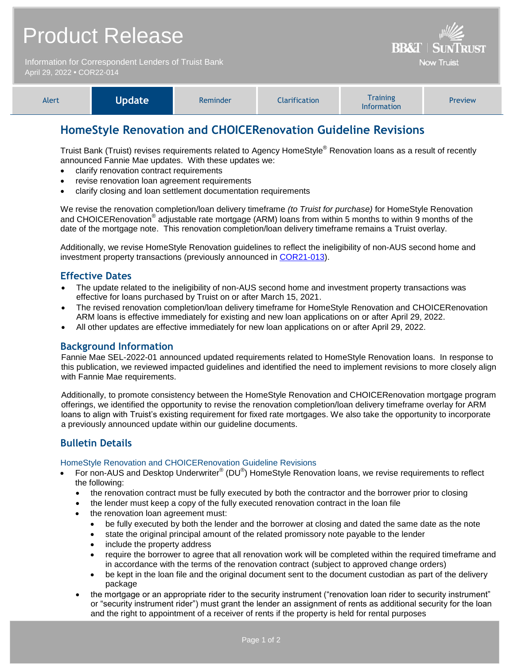|                                                                                    | <b>Product Release</b> | <b>BB&amp;T   SUNTRUST</b> |                      |                                       |         |
|------------------------------------------------------------------------------------|------------------------|----------------------------|----------------------|---------------------------------------|---------|
| Information for Correspondent Lenders of Truist Bank<br>April 29, 2022 . COR22-014 |                        |                            |                      | <b>Now Truist</b>                     |         |
| Alert                                                                              | <b>Update</b>          | Reminder                   | <b>Clarification</b> | <b>Training</b><br><b>Information</b> | Preview |

# **HomeStyle Renovation and CHOICERenovation Guideline Revisions**

Truist Bank (Truist) revises requirements related to Agency HomeStyle® Renovation loans as a result of recently announced Fannie Mae updates. With these updates we:

- clarify renovation contract requirements
- revise renovation loan agreement requirements
- clarify closing and loan settlement documentation requirements

We revise the renovation completion/loan delivery timeframe *(to Truist for purchase)* for HomeStyle Renovation and CHOICERenovation® adjustable rate mortgage (ARM) loans from within 5 months to within 9 months of the date of the mortgage note. This renovation completion/loan delivery timeframe remains a Truist overlay.

Additionally, we revise HomeStyle Renovation guidelines to reflect the ineligibility of non-AUS second home and investment property transactions (previously announced in [COR21-013\)](https://www.truistsellerguide.com/Manual/cor/bulletins/Archive/Cr21-013.pdf).

### **Effective Dates**

- The update related to the ineligibility of non-AUS second home and investment property transactions was effective for loans purchased by Truist on or after March 15, 2021.
- The revised renovation completion/loan delivery timeframe for HomeStyle Renovation and CHOICERenovation ARM loans is effective immediately for existing and new loan applications on or after April 29, 2022.
- All other updates are effective immediately for new loan applications on or after April 29, 2022.

### **Background Information**

Fannie Mae SEL-2022-01 announced updated requirements related to HomeStyle Renovation loans. In response to this publication, we reviewed impacted guidelines and identified the need to implement revisions to more closely align with Fannie Mae requirements.

Additionally, to promote consistency between the HomeStyle Renovation and CHOICERenovation mortgage program offerings, we identified the opportunity to revise the renovation completion/loan delivery timeframe overlay for ARM loans to align with Truist's existing requirement for fixed rate mortgages. We also take the opportunity to incorporate a previously announced update within our guideline documents.

# **Bulletin Details**

#### HomeStyle Renovation and CHOICERenovation Guideline Revisions

- For non-AUS and Desktop Underwriter® (DU®) HomeStyle Renovation loans, we revise requirements to reflect the following:
	- the renovation contract must be fully executed by both the contractor and the borrower prior to closing
	- the lender must keep a copy of the fully executed renovation contract in the loan file
	- the renovation loan agreement must:
		- be fully executed by both the lender and the borrower at closing and dated the same date as the note
		- state the original principal amount of the related promissory note payable to the lender
		- include the property address
		- require the borrower to agree that all renovation work will be completed within the required timeframe and in accordance with the terms of the renovation contract (subject to approved change orders)
		- be kept in the loan file and the original document sent to the document custodian as part of the delivery package
	- the mortgage or an appropriate rider to the security instrument ("renovation loan rider to security instrument" or "security instrument rider") must grant the lender an assignment of rents as additional security for the loan and the right to appointment of a receiver of rents if the property is held for rental purposes